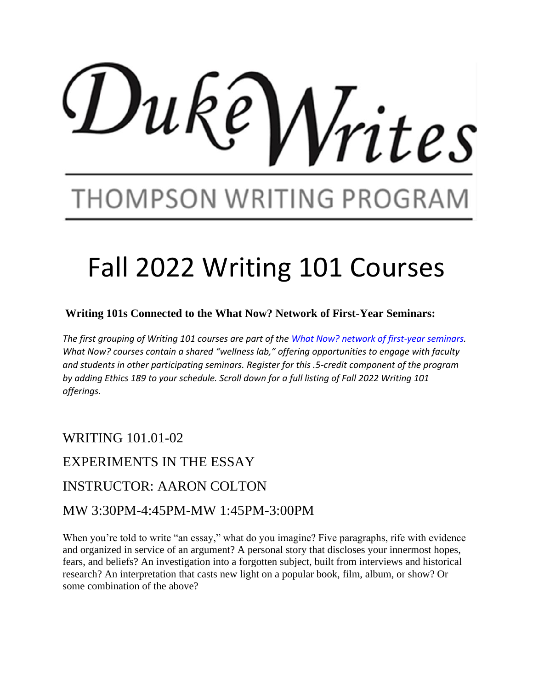# $Du$ k ites

## THOMPSON WRITING PROGRAN

# Fall 2022 Writing 101 Courses

#### **Writing 101s Connected to the What Now? Network of First-Year Seminars:**

*The first grouping of Writing 101 courses are part of the What Now? network of first-year seminars. What Now? courses contain a shared "wellness lab," offering opportunities to engage with faculty and students in other participating seminars. Register for this .5-credit component of the program by adding Ethics 189 to your schedule. Scroll down for a full listing of Fall 2022 Writing 101 offerings.*

WRITING 101.01-02

EXPERIMENTS IN THE ESSAY

#### INSTRUCTOR: AARON COLTON

#### MW 3:30PM-4:45PM-MW 1:45PM-3:00PM

When you're told to write "an essay," what do you imagine? Five paragraphs, rife with evidence and organized in service of an argument? A personal story that discloses your innermost hopes, fears, and beliefs? An investigation into a forgotten subject, built from interviews and historical research? An interpretation that casts new light on a popular book, film, album, or show? Or some combination of the above?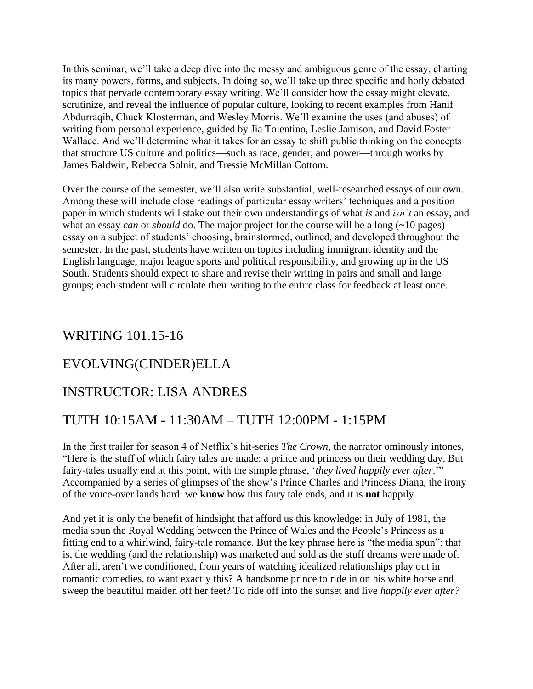In this seminar, we'll take a deep dive into the messy and ambiguous genre of the essay, charting its many powers, forms, and subjects. In doing so, we'll take up three specific and hotly debated topics that pervade contemporary essay writing. We'll consider how the essay might elevate, scrutinize, and reveal the influence of popular culture, looking to recent examples from Hanif Abdurraqib, Chuck Klosterman, and Wesley Morris. We'll examine the uses (and abuses) of writing from personal experience, guided by Jia Tolentino, Leslie Jamison, and David Foster Wallace. And we'll determine what it takes for an essay to shift public thinking on the concepts that structure US culture and politics—such as race, gender, and power—through works by James Baldwin, Rebecca Solnit, and Tressie McMillan Cottom.

Over the course of the semester, we'll also write substantial, well-researched essays of our own. Among these will include close readings of particular essay writers' techniques and a position paper in which students will stake out their own understandings of what *is* and *isn't* an essay, and what an essay *can* or *should* do. The major project for the course will be a long (~10 pages) essay on a subject of students' choosing, brainstormed, outlined, and developed throughout the semester. In the past, students have written on topics including immigrant identity and the English language, major league sports and political responsibility, and growing up in the US South. Students should expect to share and revise their writing in pairs and small and large groups; each student will circulate their writing to the entire class for feedback at least once.

#### WRITING 101.15-16

#### EVOLVING(CINDER)ELLA

#### INSTRUCTOR: LISA ANDRES

#### TUTH 10:15AM - 11:30AM – TUTH 12:00PM - 1:15PM

In the first trailer for season 4 of Netflix's hit-series *The Crown*, the narrator ominously intones, "Here is the stuff of which fairy tales are made: a prince and princess on their wedding day. But fairy-tales usually end at this point, with the simple phrase, '*they lived happily ever after*.'" Accompanied by a series of glimpses of the show's Prince Charles and Princess Diana, the irony of the voice-over lands hard: we **know** how this fairy tale ends, and it is **not** happily.

And yet it is only the benefit of hindsight that afford us this knowledge: in July of 1981, the media spun the Royal Wedding between the Prince of Wales and the People's Princess as a fitting end to a whirlwind, fairy-tale romance. But the key phrase here is "the media spun": that is, the wedding (and the relationship) was marketed and sold as the stuff dreams were made of. After all, aren't we conditioned, from years of watching idealized relationships play out in romantic comedies, to want exactly this? A handsome prince to ride in on his white horse and sweep the beautiful maiden off her feet? To ride off into the sunset and live *happily ever after?*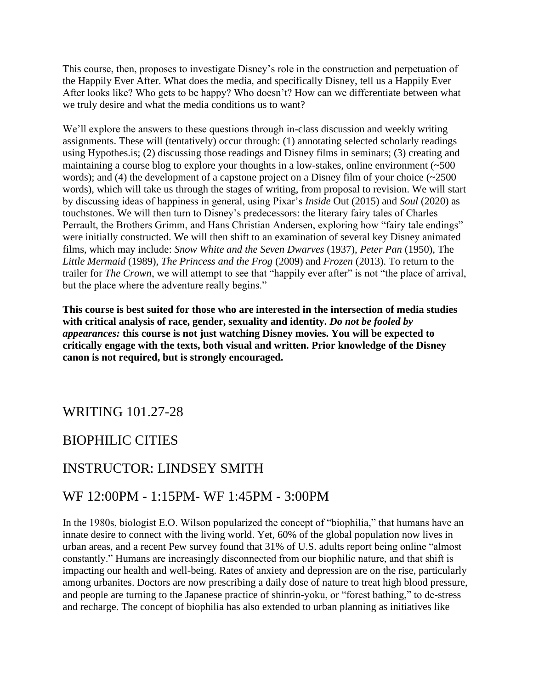This course, then, proposes to investigate Disney's role in the construction and perpetuation of the Happily Ever After. What does the media, and specifically Disney, tell us a Happily Ever After looks like? Who gets to be happy? Who doesn't? How can we differentiate between what we truly desire and what the media conditions us to want?

We'll explore the answers to these questions through in-class discussion and weekly writing assignments. These will (tentatively) occur through: (1) annotating selected scholarly readings using Hypothes.is; (2) discussing those readings and Disney films in seminars; (3) creating and maintaining a course blog to explore your thoughts in a low-stakes, online environment (~500 words); and (4) the development of a capstone project on a Disney film of your choice (~2500) words), which will take us through the stages of writing, from proposal to revision. We will start by discussing ideas of happiness in general, using Pixar's *Inside* Out (2015) and *Soul* (2020) as touchstones. We will then turn to Disney's predecessors: the literary fairy tales of Charles Perrault, the Brothers Grimm, and Hans Christian Andersen, exploring how "fairy tale endings" were initially constructed. We will then shift to an examination of several key Disney animated films, which may include: *Snow White and the Seven Dwarves* (1937), *Peter Pan* (1950), The *Little Mermaid* (1989), *The Princess and the Frog* (2009) and *Frozen* (2013). To return to the trailer for *The Crown*, we will attempt to see that "happily ever after" is not "the place of arrival, but the place where the adventure really begins."

**This course is best suited for those who are interested in the intersection of media studies with critical analysis of race, gender, sexuality and identity.** *Do not be fooled by appearances:* **this course is not just watching Disney movies. You will be expected to critically engage with the texts, both visual and written. Prior knowledge of the Disney canon is not required, but is strongly encouraged.** 

#### WRITING 101.27-28

#### BIOPHILIC CITIES

#### INSTRUCTOR: LINDSEY SMITH

#### WF 12:00PM - 1:15PM- WF 1:45PM - 3:00PM

In the 1980s, biologist E.O. Wilson popularized the concept of "biophilia," that humans have an innate desire to connect with the living world. Yet, 60% of the global population now lives in urban areas, and a recent Pew survey found that 31% of U.S. adults report being online "almost constantly." Humans are increasingly disconnected from our biophilic nature, and that shift is impacting our health and well-being. Rates of anxiety and depression are on the rise, particularly among urbanites. Doctors are now prescribing a daily dose of nature to treat high blood pressure, and people are turning to the Japanese practice of shinrin-yoku, or "forest bathing," to de-stress and recharge. The concept of biophilia has also extended to urban planning as initiatives like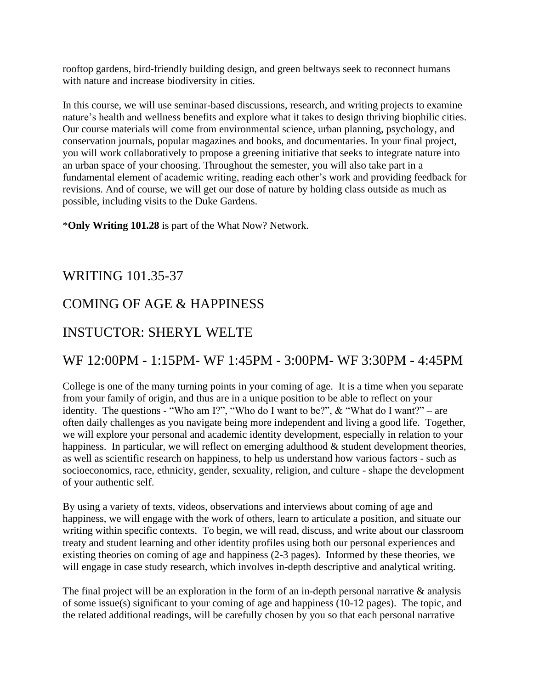rooftop gardens, bird-friendly building design, and green beltways seek to reconnect humans with nature and increase biodiversity in cities.

In this course, we will use seminar-based discussions, research, and writing projects to examine nature's health and wellness benefits and explore what it takes to design thriving biophilic cities. Our course materials will come from environmental science, urban planning, psychology, and conservation journals, popular magazines and books, and documentaries. In your final project, you will work collaboratively to propose a greening initiative that seeks to integrate nature into an urban space of your choosing. Throughout the semester, you will also take part in a fundamental element of academic writing, reading each other's work and providing feedback for revisions. And of course, we will get our dose of nature by holding class outside as much as possible, including visits to the Duke Gardens.

\***Only Writing 101.28** is part of the What Now? Network.

#### WRITING 101.35-37

#### COMING OF AGE & HAPPINESS

#### INSTUCTOR: SHERYL WELTE

#### WF 12:00PM - 1:15PM- WF 1:45PM - 3:00PM- WF 3:30PM - 4:45PM

College is one of the many turning points in your coming of age. It is a time when you separate from your family of origin, and thus are in a unique position to be able to reflect on your identity. The questions - "Who am I?", "Who do I want to be?",  $\&$  "What do I want?" – are often daily challenges as you navigate being more independent and living a good life. Together, we will explore your personal and academic identity development, especially in relation to your happiness. In particular, we will reflect on emerging adulthood  $\&$  student development theories, as well as scientific research on happiness, to help us understand how various factors - such as socioeconomics, race, ethnicity, gender, sexuality, religion, and culture - shape the development of your authentic self.

By using a variety of texts, videos, observations and interviews about coming of age and happiness, we will engage with the work of others, learn to articulate a position, and situate our writing within specific contexts. To begin, we will read, discuss, and write about our classroom treaty and student learning and other identity profiles using both our personal experiences and existing theories on coming of age and happiness (2-3 pages). Informed by these theories, we will engage in case study research, which involves in-depth descriptive and analytical writing.

The final project will be an exploration in the form of an in-depth personal narrative & analysis of some issue(s) significant to your coming of age and happiness (10-12 pages). The topic, and the related additional readings, will be carefully chosen by you so that each personal narrative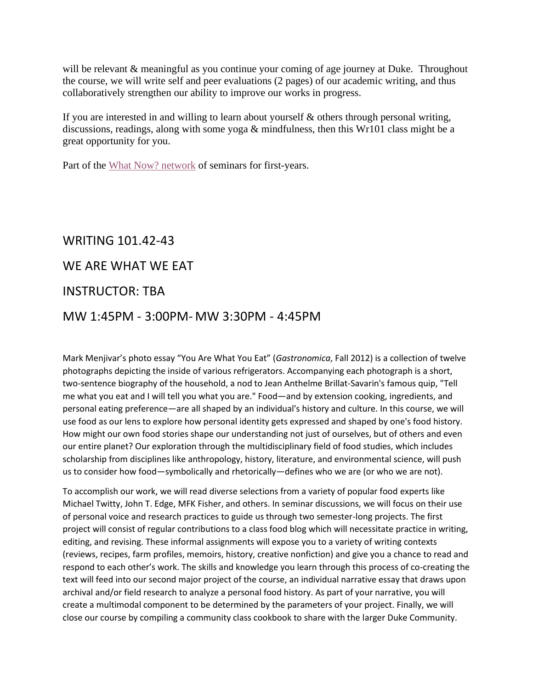will be relevant & meaningful as you continue your coming of age journey at Duke. Throughout the course, we will write self and peer evaluations (2 pages) of our academic writing, and thus collaboratively strengthen our ability to improve our works in progress.

If you are interested in and willing to learn about yourself  $\&$  others through personal writing, discussions, readings, along with some yoga & mindfulness, then this Wr101 class might be a great opportunity for you.

Part of the [What Now? network](https://kenan.ethics.duke.edu/what-now-network/) of seminars for first-years.

#### WRITING 101.42-43

#### WE ARE WHAT WE EAT

#### INSTRUCTOR: TBA

#### MW 1:45PM - 3:00PM- MW 3:30PM - 4:45PM

Mark Menjivar's photo essay "You Are What You Eat" (*Gastronomica*, Fall 2012) is a collection of twelve photographs depicting the inside of various refrigerators. Accompanying each photograph is a short, two-sentence biography of the household, a nod to Jean Anthelme Brillat-Savarin's famous quip, "Tell me what you eat and I will tell you what you are." Food—and by extension cooking, ingredients, and personal eating preference—are all shaped by an individual's history and culture. In this course, we will use food as our lens to explore how personal identity gets expressed and shaped by one's food history. How might our own food stories shape our understanding not just of ourselves, but of others and even our entire planet? Our exploration through the multidisciplinary field of food studies, which includes scholarship from disciplines like anthropology, history, literature, and environmental science, will push us to consider how food—symbolically and rhetorically—defines who we are (or who we are not).

To accomplish our work, we will read diverse selections from a variety of popular food experts like Michael Twitty, John T. Edge, MFK Fisher, and others. In seminar discussions, we will focus on their use of personal voice and research practices to guide us through two semester-long projects. The first project will consist of regular contributions to a class food blog which will necessitate practice in writing, editing, and revising. These informal assignments will expose you to a variety of writing contexts (reviews, recipes, farm profiles, memoirs, history, creative nonfiction) and give you a chance to read and respond to each other's work. The skills and knowledge you learn through this process of co-creating the text will feed into our second major project of the course, an individual narrative essay that draws upon archival and/or field research to analyze a personal food history. As part of your narrative, you will create a multimodal component to be determined by the parameters of your project. Finally, we will close our course by compiling a community class cookbook to share with the larger Duke Community.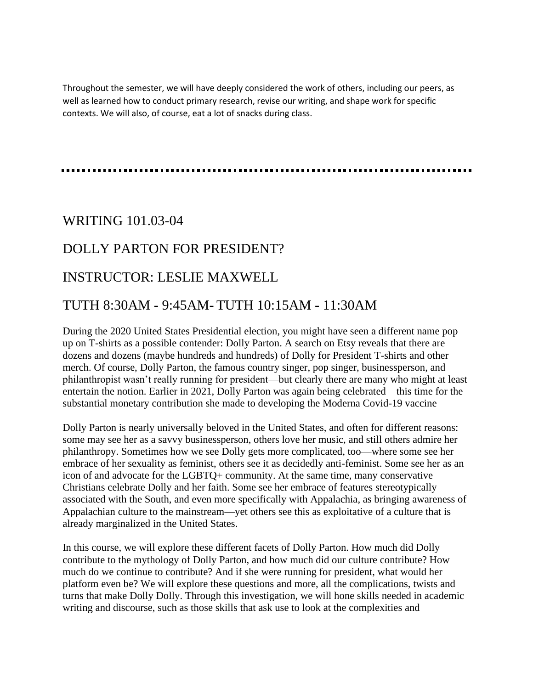Throughout the semester, we will have deeply considered the work of others, including our peers, as well as learned how to conduct primary research, revise our writing, and shape work for specific contexts. We will also, of course, eat a lot of snacks during class.

#### WRITING 101.03-04

#### DOLLY PARTON FOR PRESIDENT?

#### INSTRUCTOR: LESLIE MAXWELL

#### TUTH 8:30AM - 9:45AM- TUTH 10:15AM - 11:30AM

During the 2020 United States Presidential election, you might have seen a different name pop up on T-shirts as a possible contender: Dolly Parton. A search on Etsy reveals that there are dozens and dozens (maybe hundreds and hundreds) of Dolly for President T-shirts and other merch. Of course, Dolly Parton, the famous country singer, pop singer, businessperson, and philanthropist wasn't really running for president—but clearly there are many who might at least entertain the notion. Earlier in 2021, Dolly Parton was again being celebrated—this time for the substantial monetary contribution she made to developing the Moderna Covid-19 vaccine

Dolly Parton is nearly universally beloved in the United States, and often for different reasons: some may see her as a savvy businessperson, others love her music, and still others admire her philanthropy. Sometimes how we see Dolly gets more complicated, too—where some see her embrace of her sexuality as feminist, others see it as decidedly anti-feminist. Some see her as an icon of and advocate for the LGBTQ+ community. At the same time, many conservative Christians celebrate Dolly and her faith. Some see her embrace of features stereotypically associated with the South, and even more specifically with Appalachia, as bringing awareness of Appalachian culture to the mainstream—yet others see this as exploitative of a culture that is already marginalized in the United States.

In this course, we will explore these different facets of Dolly Parton. How much did Dolly contribute to the mythology of Dolly Parton, and how much did our culture contribute? How much do we continue to contribute? And if she were running for president, what would her platform even be? We will explore these questions and more, all the complications, twists and turns that make Dolly Dolly. Through this investigation, we will hone skills needed in academic writing and discourse, such as those skills that ask use to look at the complexities and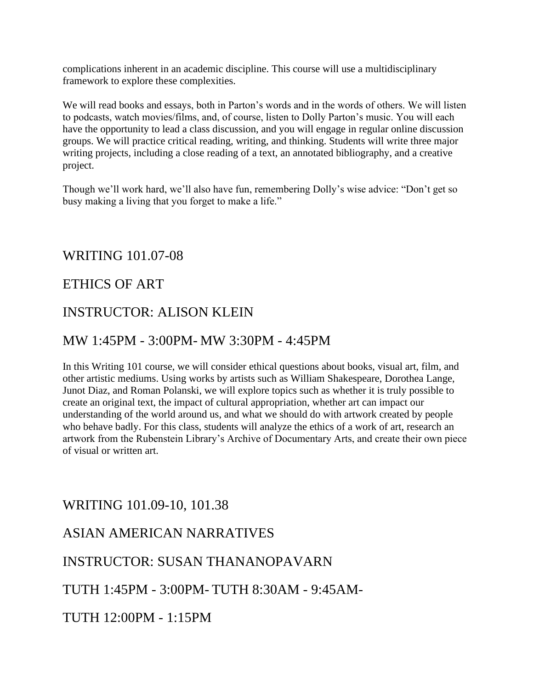complications inherent in an academic discipline. This course will use a multidisciplinary framework to explore these complexities.

We will read books and essays, both in Parton's words and in the words of others. We will listen to podcasts, watch movies/films, and, of course, listen to Dolly Parton's music. You will each have the opportunity to lead a class discussion, and you will engage in regular online discussion groups. We will practice critical reading, writing, and thinking. Students will write three major writing projects, including a close reading of a text, an annotated bibliography, and a creative project.

Though we'll work hard, we'll also have fun, remembering Dolly's wise advice: "Don't get so busy making a living that you forget to make a life."

#### WRITING 101.07-08

#### ETHICS OF ART

#### INSTRUCTOR: ALISON KLEIN

#### MW 1:45PM - 3:00PM- MW 3:30PM - 4:45PM

In this Writing 101 course, we will consider ethical questions about books, visual art, film, and other artistic mediums. Using works by artists such as William Shakespeare, Dorothea Lange, Junot Diaz, and Roman Polanski, we will explore topics such as whether it is truly possible to create an original text, the impact of cultural appropriation, whether art can impact our understanding of the world around us, and what we should do with artwork created by people who behave badly. For this class, students will analyze the ethics of a work of art, research an artwork from the Rubenstein Library's Archive of Documentary Arts, and create their own piece of visual or written art.

#### WRITING 101.09-10, 101.38

#### ASIAN AMERICAN NARRATIVES

#### INSTRUCTOR: SUSAN THANANOPAVARN

#### TUTH 1:45PM - 3:00PM- TUTH 8:30AM - 9:45AM-

TUTH 12:00PM - 1:15PM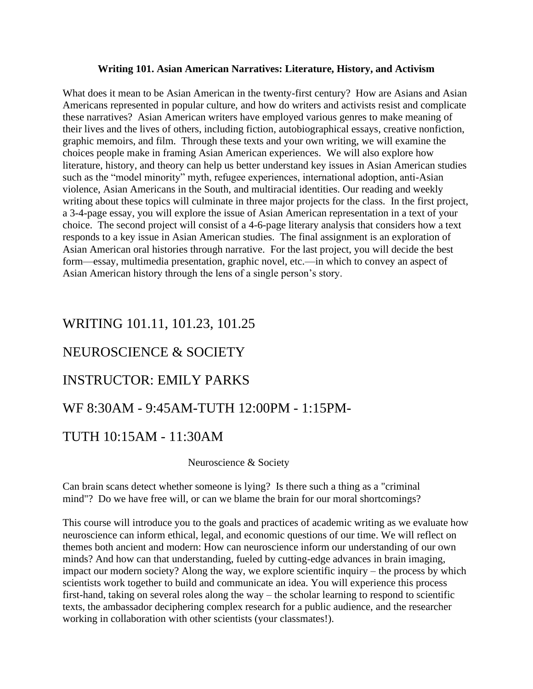#### **Writing 101. Asian American Narratives: Literature, History, and Activism**

What does it mean to be Asian American in the twenty-first century? How are Asians and Asian Americans represented in popular culture, and how do writers and activists resist and complicate these narratives? Asian American writers have employed various genres to make meaning of their lives and the lives of others, including fiction, autobiographical essays, creative nonfiction, graphic memoirs, and film. Through these texts and your own writing, we will examine the choices people make in framing Asian American experiences. We will also explore how literature, history, and theory can help us better understand key issues in Asian American studies such as the "model minority" myth, refugee experiences, international adoption, anti-Asian violence, Asian Americans in the South, and multiracial identities. Our reading and weekly writing about these topics will culminate in three major projects for the class. In the first project, a 3-4-page essay, you will explore the issue of Asian American representation in a text of your choice. The second project will consist of a 4-6-page literary analysis that considers how a text responds to a key issue in Asian American studies. The final assignment is an exploration of Asian American oral histories through narrative. For the last project, you will decide the best form—essay, multimedia presentation, graphic novel, etc.—in which to convey an aspect of Asian American history through the lens of a single person's story.

#### WRITING 101.11, 101.23, 101.25

#### NEUROSCIENCE & SOCIETY

#### INSTRUCTOR: EMILY PARKS

#### WF 8:30AM - 9:45AM-TUTH 12:00PM - 1:15PM-

#### TUTH 10:15AM - 11:30AM

#### Neuroscience & Society

Can brain scans detect whether someone is lying? Is there such a thing as a "criminal mind"? Do we have free will, or can we blame the brain for our moral shortcomings?

This course will introduce you to the goals and practices of academic writing as we evaluate how neuroscience can inform ethical, legal, and economic questions of our time. We will reflect on themes both ancient and modern: How can neuroscience inform our understanding of our own minds? And how can that understanding, fueled by cutting-edge advances in brain imaging, impact our modern society? Along the way, we explore scientific inquiry – the process by which scientists work together to build and communicate an idea. You will experience this process first-hand, taking on several roles along the way – the scholar learning to respond to scientific texts, the ambassador deciphering complex research for a public audience, and the researcher working in collaboration with other scientists (your classmates!).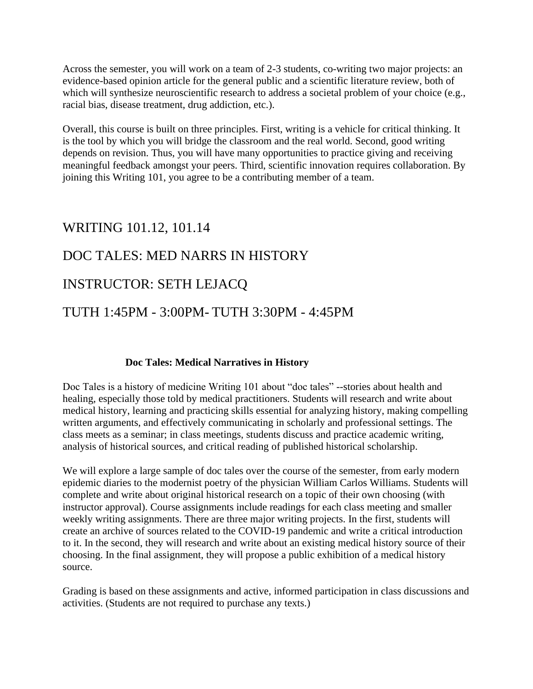Across the semester, you will work on a team of 2-3 students, co-writing two major projects: an evidence-based opinion article for the general public and a scientific literature review, both of which will synthesize neuroscientific research to address a societal problem of your choice (e.g., racial bias, disease treatment, drug addiction, etc.).

Overall, this course is built on three principles. First, writing is a vehicle for critical thinking. It is the tool by which you will bridge the classroom and the real world. Second, good writing depends on revision. Thus, you will have many opportunities to practice giving and receiving meaningful feedback amongst your peers. Third, scientific innovation requires collaboration. By joining this Writing 101, you agree to be a contributing member of a team.

#### WRITING 101.12, 101.14

#### DOC TALES: MED NARRS IN HISTORY

#### INSTRUCTOR: SETH LEJACQ

#### TUTH 1:45PM - 3:00PM- TUTH 3:30PM - 4:45PM

#### **Doc Tales: Medical Narratives in History**

Doc Tales is a history of medicine Writing 101 about "doc tales" --stories about health and healing, especially those told by medical practitioners. Students will research and write about medical history, learning and practicing skills essential for analyzing history, making compelling written arguments, and effectively communicating in scholarly and professional settings. The class meets as a seminar; in class meetings, students discuss and practice academic writing, analysis of historical sources, and critical reading of published historical scholarship.

We will explore a large sample of doc tales over the course of the semester, from early modern epidemic diaries to the modernist poetry of the physician William Carlos Williams. Students will complete and write about original historical research on a topic of their own choosing (with instructor approval). Course assignments include readings for each class meeting and smaller weekly writing assignments. There are three major writing projects. In the first, students will create an archive of sources related to the COVID-19 pandemic and write a critical introduction to it. In the second, they will research and write about an existing medical history source of their choosing. In the final assignment, they will propose a public exhibition of a medical history source.

Grading is based on these assignments and active, informed participation in class discussions and activities. (Students are not required to purchase any texts.)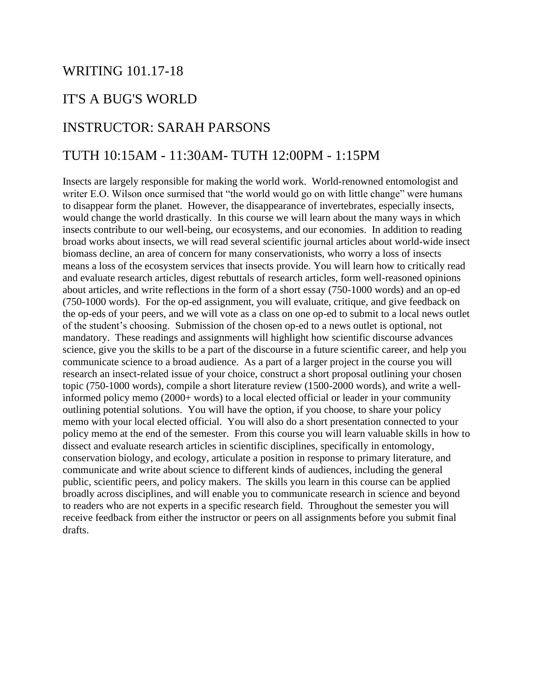#### WRITING 101.17-18

#### IT'S A BUG'S WORLD

#### INSTRUCTOR: SARAH PARSONS

#### TUTH 10:15AM - 11:30AM- TUTH 12:00PM - 1:15PM

Insects are largely responsible for making the world work. World-renowned entomologist and writer E.O. Wilson once surmised that "the world would go on with little change" were humans to disappear form the planet. However, the disappearance of invertebrates, especially insects, would change the world drastically. In this course we will learn about the many ways in which insects contribute to our well-being, our ecosystems, and our economies. In addition to reading broad works about insects, we will read several scientific journal articles about world-wide insect biomass decline, an area of concern for many conservationists, who worry a loss of insects means a loss of the ecosystem services that insects provide. You will learn how to critically read and evaluate research articles, digest rebuttals of research articles, form well-reasoned opinions about articles, and write reflections in the form of a short essay (750-1000 words) and an op-ed (750-1000 words). For the op-ed assignment, you will evaluate, critique, and give feedback on the op-eds of your peers, and we will vote as a class on one op-ed to submit to a local news outlet of the student's choosing. Submission of the chosen op-ed to a news outlet is optional, not mandatory. These readings and assignments will highlight how scientific discourse advances science, give you the skills to be a part of the discourse in a future scientific career, and help you communicate science to a broad audience. As a part of a larger project in the course you will research an insect-related issue of your choice, construct a short proposal outlining your chosen topic (750-1000 words), compile a short literature review (1500-2000 words), and write a wellinformed policy memo (2000+ words) to a local elected official or leader in your community outlining potential solutions. You will have the option, if you choose, to share your policy memo with your local elected official. You will also do a short presentation connected to your policy memo at the end of the semester. From this course you will learn valuable skills in how to dissect and evaluate research articles in scientific disciplines, specifically in entomology, conservation biology, and ecology, articulate a position in response to primary literature, and communicate and write about science to different kinds of audiences, including the general public, scientific peers, and policy makers. The skills you learn in this course can be applied broadly across disciplines, and will enable you to communicate research in science and beyond to readers who are not experts in a specific research field. Throughout the semester you will receive feedback from either the instructor or peers on all assignments before you submit final drafts.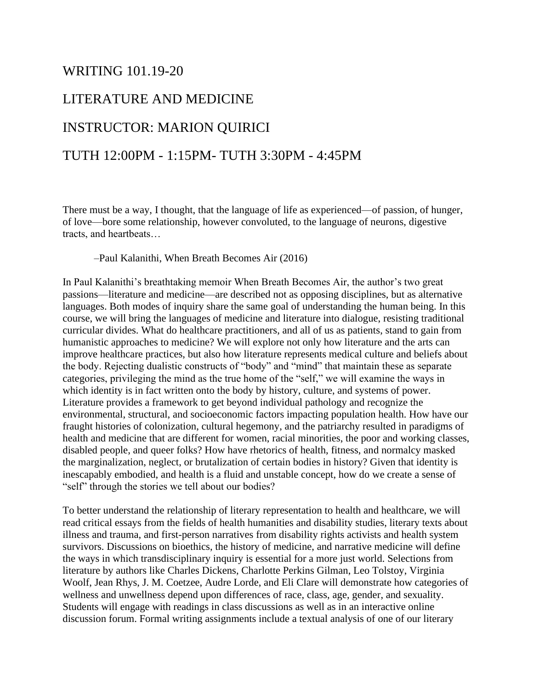#### WRITING 101.19-20

#### LITERATURE AND MEDICINE

#### INSTRUCTOR: MARION QUIRICI

#### TUTH 12:00PM - 1:15PM- TUTH 3:30PM - 4:45PM

There must be a way, I thought, that the language of life as experienced—of passion, of hunger, of love—bore some relationship, however convoluted, to the language of neurons, digestive tracts, and heartbeats…

#### –Paul Kalanithi, When Breath Becomes Air (2016)

In Paul Kalanithi's breathtaking memoir When Breath Becomes Air, the author's two great passions—literature and medicine—are described not as opposing disciplines, but as alternative languages. Both modes of inquiry share the same goal of understanding the human being. In this course, we will bring the languages of medicine and literature into dialogue, resisting traditional curricular divides. What do healthcare practitioners, and all of us as patients, stand to gain from humanistic approaches to medicine? We will explore not only how literature and the arts can improve healthcare practices, but also how literature represents medical culture and beliefs about the body. Rejecting dualistic constructs of "body" and "mind" that maintain these as separate categories, privileging the mind as the true home of the "self," we will examine the ways in which identity is in fact written onto the body by history, culture, and systems of power. Literature provides a framework to get beyond individual pathology and recognize the environmental, structural, and socioeconomic factors impacting population health. How have our fraught histories of colonization, cultural hegemony, and the patriarchy resulted in paradigms of health and medicine that are different for women, racial minorities, the poor and working classes, disabled people, and queer folks? How have rhetorics of health, fitness, and normalcy masked the marginalization, neglect, or brutalization of certain bodies in history? Given that identity is inescapably embodied, and health is a fluid and unstable concept, how do we create a sense of "self" through the stories we tell about our bodies?

To better understand the relationship of literary representation to health and healthcare, we will read critical essays from the fields of health humanities and disability studies, literary texts about illness and trauma, and first-person narratives from disability rights activists and health system survivors. Discussions on bioethics, the history of medicine, and narrative medicine will define the ways in which transdisciplinary inquiry is essential for a more just world. Selections from literature by authors like Charles Dickens, Charlotte Perkins Gilman, Leo Tolstoy, Virginia Woolf, Jean Rhys, J. M. Coetzee, Audre Lorde, and Eli Clare will demonstrate how categories of wellness and unwellness depend upon differences of race, class, age, gender, and sexuality. Students will engage with readings in class discussions as well as in an interactive online discussion forum. Formal writing assignments include a textual analysis of one of our literary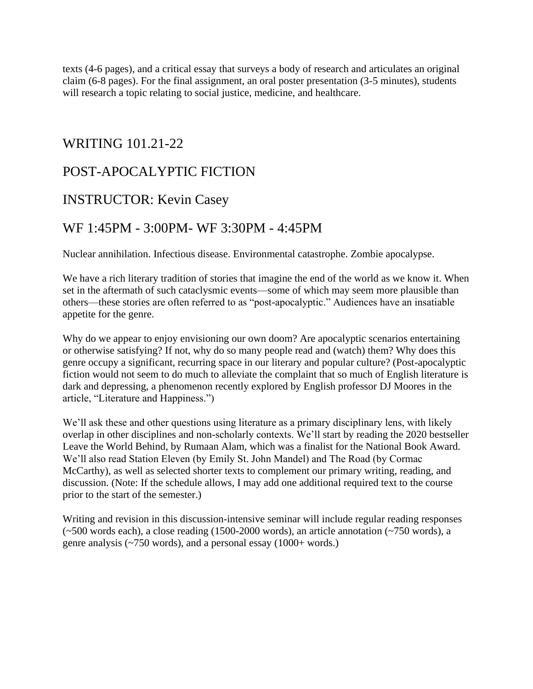texts (4-6 pages), and a critical essay that surveys a body of research and articulates an original claim (6-8 pages). For the final assignment, an oral poster presentation (3-5 minutes), students will research a topic relating to social justice, medicine, and healthcare.

#### WRITING 101.21-22

#### POST-APOCALYPTIC FICTION

#### INSTRUCTOR: Kevin Casey

#### WF 1:45PM - 3:00PM- WF 3:30PM - 4:45PM

Nuclear annihilation. Infectious disease. Environmental catastrophe. Zombie apocalypse.

We have a rich literary tradition of stories that imagine the end of the world as we know it. When set in the aftermath of such cataclysmic events—some of which may seem more plausible than others—these stories are often referred to as "post-apocalyptic." Audiences have an insatiable appetite for the genre.

Why do we appear to enjoy envisioning our own doom? Are apocalyptic scenarios entertaining or otherwise satisfying? If not, why do so many people read and (watch) them? Why does this genre occupy a significant, recurring space in our literary and popular culture? (Post-apocalyptic fiction would not seem to do much to alleviate the complaint that so much of English literature is dark and depressing, a phenomenon recently explored by English professor DJ Moores in the article, "Literature and Happiness.")

We'll ask these and other questions using literature as a primary disciplinary lens, with likely overlap in other disciplines and non-scholarly contexts. We'll start by reading the 2020 bestseller Leave the World Behind, by Rumaan Alam, which was a finalist for the National Book Award. We'll also read Station Eleven (by Emily St. John Mandel) and The Road (by Cormac McCarthy), as well as selected shorter texts to complement our primary writing, reading, and discussion. (Note: If the schedule allows, I may add one additional required text to the course prior to the start of the semester.)

Writing and revision in this discussion-intensive seminar will include regular reading responses (~500 words each), a close reading (1500-2000 words), an article annotation (~750 words), a genre analysis ( $\sim$ 750 words), and a personal essay (1000+ words.)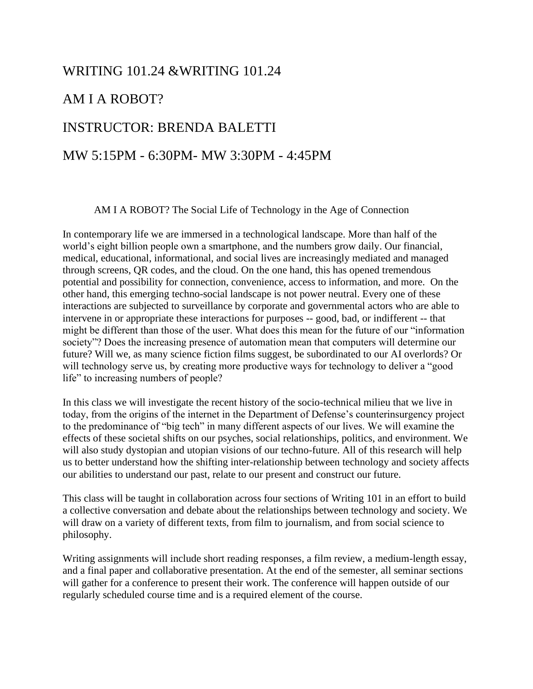#### WRITING 101.24 &WRITING 101.24

#### AM I A ROBOT?

#### INSTRUCTOR: BRENDA BALETTI

#### MW 5:15PM - 6:30PM- MW 3:30PM - 4:45PM

AM I A ROBOT? The Social Life of Technology in the Age of Connection

In contemporary life we are immersed in a technological landscape. More than half of the world's eight billion people own a smartphone, and the numbers grow daily. Our financial, medical, educational, informational, and social lives are increasingly mediated and managed through screens, QR codes, and the cloud. On the one hand, this has opened tremendous potential and possibility for connection, convenience, access to information, and more. On the other hand, this emerging techno-social landscape is not power neutral. Every one of these interactions are subjected to surveillance by corporate and governmental actors who are able to intervene in or appropriate these interactions for purposes -- good, bad, or indifferent -- that might be different than those of the user. What does this mean for the future of our "information society"? Does the increasing presence of automation mean that computers will determine our future? Will we, as many science fiction films suggest, be subordinated to our AI overlords? Or will technology serve us, by creating more productive ways for technology to deliver a "good life" to increasing numbers of people?

In this class we will investigate the recent history of the socio-technical milieu that we live in today, from the origins of the internet in the Department of Defense's counterinsurgency project to the predominance of "big tech" in many different aspects of our lives. We will examine the effects of these societal shifts on our psyches, social relationships, politics, and environment. We will also study dystopian and utopian visions of our techno-future. All of this research will help us to better understand how the shifting inter-relationship between technology and society affects our abilities to understand our past, relate to our present and construct our future.

This class will be taught in collaboration across four sections of Writing 101 in an effort to build a collective conversation and debate about the relationships between technology and society. We will draw on a variety of different texts, from film to journalism, and from social science to philosophy.

Writing assignments will include short reading responses, a film review, a medium-length essay, and a final paper and collaborative presentation. At the end of the semester, all seminar sections will gather for a conference to present their work. The conference will happen outside of our regularly scheduled course time and is a required element of the course.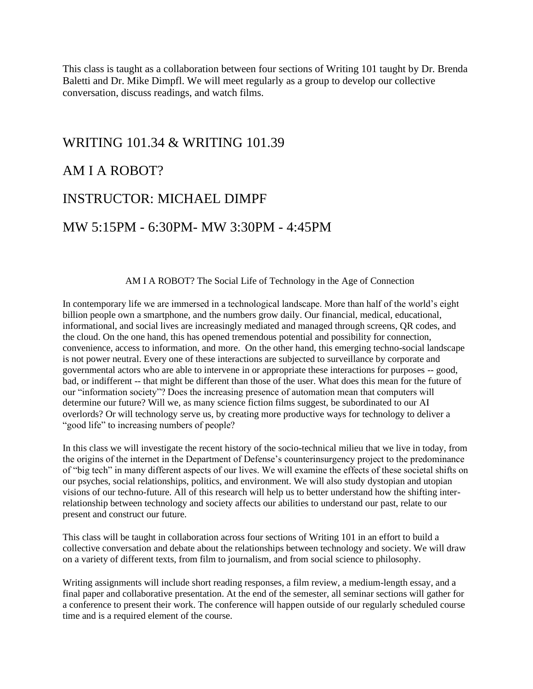This class is taught as a collaboration between four sections of Writing 101 taught by Dr. Brenda Baletti and Dr. Mike Dimpfl. We will meet regularly as a group to develop our collective conversation, discuss readings, and watch films.

#### WRITING 101.34 & WRITING 101.39

#### AM I A ROBOT?

#### INSTRUCTOR: MICHAEL DIMPF

#### MW 5:15PM - 6:30PM- MW 3:30PM - 4:45PM

#### AM I A ROBOT? The Social Life of Technology in the Age of Connection

In contemporary life we are immersed in a technological landscape. More than half of the world's eight billion people own a smartphone, and the numbers grow daily. Our financial, medical, educational, informational, and social lives are increasingly mediated and managed through screens, QR codes, and the cloud. On the one hand, this has opened tremendous potential and possibility for connection, convenience, access to information, and more. On the other hand, this emerging techno-social landscape is not power neutral. Every one of these interactions are subjected to surveillance by corporate and governmental actors who are able to intervene in or appropriate these interactions for purposes -- good, bad, or indifferent -- that might be different than those of the user. What does this mean for the future of our "information society"? Does the increasing presence of automation mean that computers will determine our future? Will we, as many science fiction films suggest, be subordinated to our AI overlords? Or will technology serve us, by creating more productive ways for technology to deliver a "good life" to increasing numbers of people?

In this class we will investigate the recent history of the socio-technical milieu that we live in today, from the origins of the internet in the Department of Defense's counterinsurgency project to the predominance of "big tech" in many different aspects of our lives. We will examine the effects of these societal shifts on our psyches, social relationships, politics, and environment. We will also study dystopian and utopian visions of our techno-future. All of this research will help us to better understand how the shifting interrelationship between technology and society affects our abilities to understand our past, relate to our present and construct our future.

This class will be taught in collaboration across four sections of Writing 101 in an effort to build a collective conversation and debate about the relationships between technology and society. We will draw on a variety of different texts, from film to journalism, and from social science to philosophy.

Writing assignments will include short reading responses, a film review, a medium-length essay, and a final paper and collaborative presentation. At the end of the semester, all seminar sections will gather for a conference to present their work. The conference will happen outside of our regularly scheduled course time and is a required element of the course.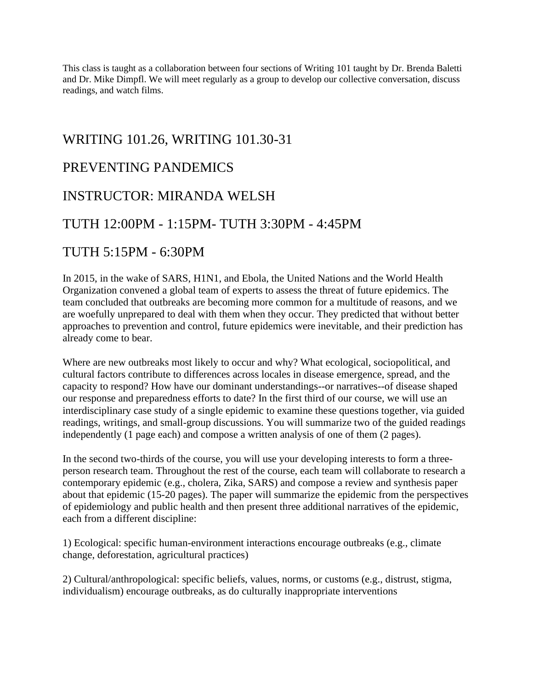This class is taught as a collaboration between four sections of Writing 101 taught by Dr. Brenda Baletti and Dr. Mike Dimpfl. We will meet regularly as a group to develop our collective conversation, discuss readings, and watch films.

#### WRITING 101.26, WRITING 101.30-31

#### PREVENTING PANDEMICS

#### INSTRUCTOR: MIRANDA WELSH

#### TUTH 12:00PM - 1:15PM- TUTH 3:30PM - 4:45PM

#### TUTH 5:15PM - 6:30PM

In 2015, in the wake of SARS, H1N1, and Ebola, the United Nations and the World Health Organization convened a global team of experts to assess the threat of future epidemics. The team concluded that outbreaks are becoming more common for a multitude of reasons, and we are woefully unprepared to deal with them when they occur. They predicted that without better approaches to prevention and control, future epidemics were inevitable, and their prediction has already come to bear.

Where are new outbreaks most likely to occur and why? What ecological, sociopolitical, and cultural factors contribute to differences across locales in disease emergence, spread, and the capacity to respond? How have our dominant understandings--or narratives--of disease shaped our response and preparedness efforts to date? In the first third of our course, we will use an interdisciplinary case study of a single epidemic to examine these questions together, via guided readings, writings, and small-group discussions. You will summarize two of the guided readings independently (1 page each) and compose a written analysis of one of them (2 pages).

In the second two-thirds of the course, you will use your developing interests to form a threeperson research team. Throughout the rest of the course, each team will collaborate to research a contemporary epidemic (e.g., cholera, Zika, SARS) and compose a review and synthesis paper about that epidemic (15-20 pages). The paper will summarize the epidemic from the perspectives of epidemiology and public health and then present three additional narratives of the epidemic, each from a different discipline:

1) Ecological: specific human-environment interactions encourage outbreaks (e.g., climate change, deforestation, agricultural practices)

2) Cultural/anthropological: specific beliefs, values, norms, or customs (e.g., distrust, stigma, individualism) encourage outbreaks, as do culturally inappropriate interventions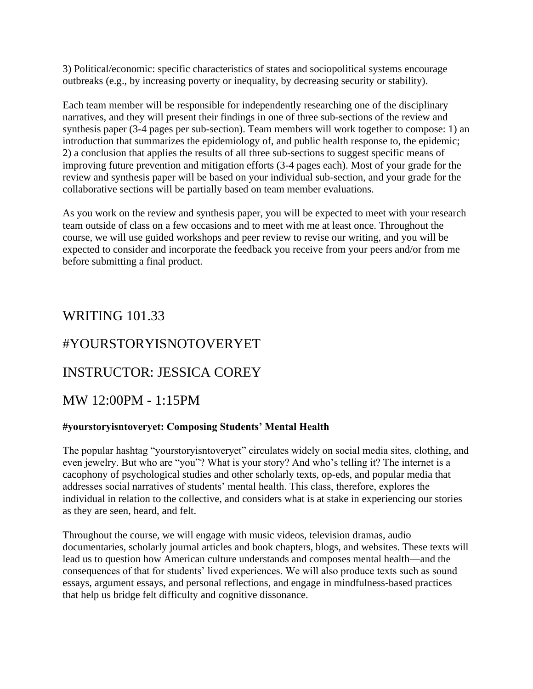3) Political/economic: specific characteristics of states and sociopolitical systems encourage outbreaks (e.g., by increasing poverty or inequality, by decreasing security or stability).

Each team member will be responsible for independently researching one of the disciplinary narratives, and they will present their findings in one of three sub-sections of the review and synthesis paper (3-4 pages per sub-section). Team members will work together to compose: 1) an introduction that summarizes the epidemiology of, and public health response to, the epidemic; 2) a conclusion that applies the results of all three sub-sections to suggest specific means of improving future prevention and mitigation efforts (3-4 pages each). Most of your grade for the review and synthesis paper will be based on your individual sub-section, and your grade for the collaborative sections will be partially based on team member evaluations.

As you work on the review and synthesis paper, you will be expected to meet with your research team outside of class on a few occasions and to meet with me at least once. Throughout the course, we will use guided workshops and peer review to revise our writing, and you will be expected to consider and incorporate the feedback you receive from your peers and/or from me before submitting a final product.

#### WRITING 101.33

#### #YOURSTORYISNOTOVERYET

#### INSTRUCTOR: JESSICA COREY

#### MW 12:00PM - 1:15PM

#### **#yourstoryisntoveryet: Composing Students' Mental Health**

The popular hashtag "yourstoryisntoveryet" circulates widely on social media sites, clothing, and even jewelry. But who are "you"? What is your story? And who's telling it? The internet is a cacophony of psychological studies and other scholarly texts, op-eds, and popular media that addresses social narratives of students' mental health. This class, therefore, explores the individual in relation to the collective, and considers what is at stake in experiencing our stories as they are seen, heard, and felt.

Throughout the course, we will engage with music videos, television dramas, audio documentaries, scholarly journal articles and book chapters, blogs, and websites. These texts will lead us to question how American culture understands and composes mental health—and the consequences of that for students' lived experiences. We will also produce texts such as sound essays, argument essays, and personal reflections, and engage in mindfulness-based practices that help us bridge felt difficulty and cognitive dissonance.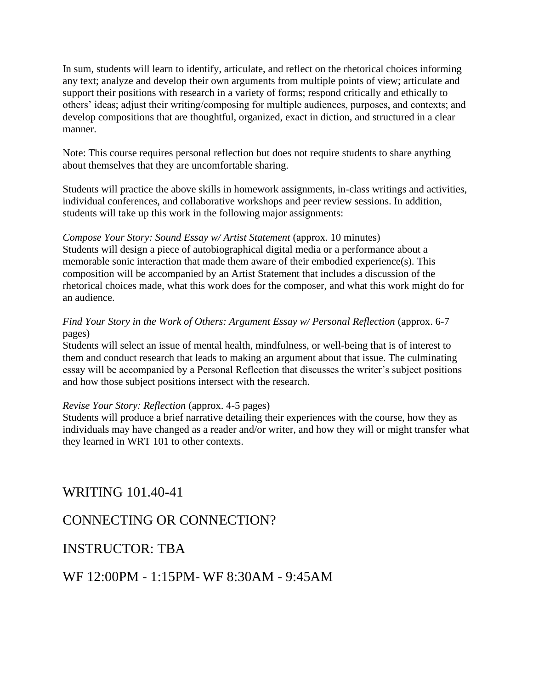In sum, students will learn to identify, articulate, and reflect on the rhetorical choices informing any text; analyze and develop their own arguments from multiple points of view; articulate and support their positions with research in a variety of forms; respond critically and ethically to others' ideas; adjust their writing/composing for multiple audiences, purposes, and contexts; and develop compositions that are thoughtful, organized, exact in diction, and structured in a clear manner.

Note: This course requires personal reflection but does not require students to share anything about themselves that they are uncomfortable sharing.

Students will practice the above skills in homework assignments, in-class writings and activities, individual conferences, and collaborative workshops and peer review sessions. In addition, students will take up this work in the following major assignments:

*Compose Your Story: Sound Essay w/ Artist Statement (approx. 10 minutes)* Students will design a piece of autobiographical digital media or a performance about a memorable sonic interaction that made them aware of their embodied experience(s). This composition will be accompanied by an Artist Statement that includes a discussion of the rhetorical choices made, what this work does for the composer, and what this work might do for an audience.

#### *Find Your Story in the Work of Others: Argument Essay w/ Personal Reflection (approx. 6-7)* pages)

Students will select an issue of mental health, mindfulness, or well-being that is of interest to them and conduct research that leads to making an argument about that issue. The culminating essay will be accompanied by a Personal Reflection that discusses the writer's subject positions and how those subject positions intersect with the research.

#### *Revise Your Story: Reflection* (approx. 4-5 pages)

Students will produce a brief narrative detailing their experiences with the course, how they as individuals may have changed as a reader and/or writer, and how they will or might transfer what they learned in WRT 101 to other contexts.

WRITING 101.40-41

#### CONNECTING OR CONNECTION?

#### INSTRUCTOR: TBA

WF 12:00PM - 1:15PM- WF 8:30AM - 9:45AM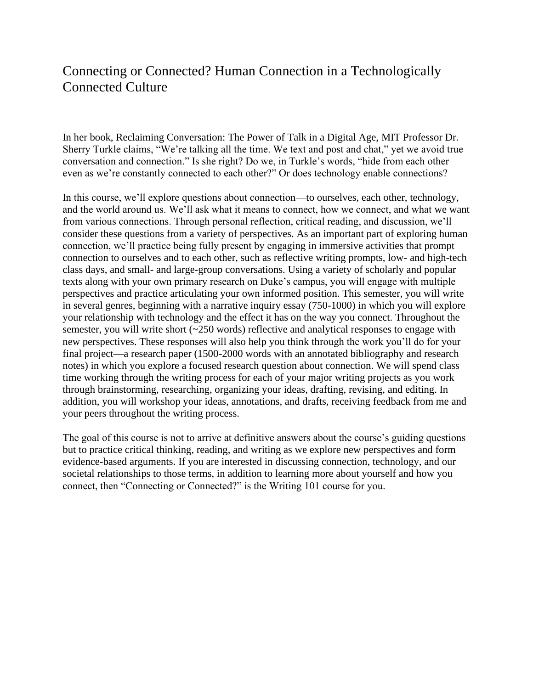#### Connecting or Connected? Human Connection in a Technologically Connected Culture

In her book, Reclaiming Conversation: The Power of Talk in a Digital Age, MIT Professor Dr. Sherry Turkle claims, "We're talking all the time. We text and post and chat," yet we avoid true conversation and connection." Is she right? Do we, in Turkle's words, "hide from each other even as we're constantly connected to each other?" Or does technology enable connections?

In this course, we'll explore questions about connection—to ourselves, each other, technology, and the world around us. We'll ask what it means to connect, how we connect, and what we want from various connections. Through personal reflection, critical reading, and discussion, we'll consider these questions from a variety of perspectives. As an important part of exploring human connection, we'll practice being fully present by engaging in immersive activities that prompt connection to ourselves and to each other, such as reflective writing prompts, low- and high-tech class days, and small- and large-group conversations. Using a variety of scholarly and popular texts along with your own primary research on Duke's campus, you will engage with multiple perspectives and practice articulating your own informed position. This semester, you will write in several genres, beginning with a narrative inquiry essay (750-1000) in which you will explore your relationship with technology and the effect it has on the way you connect. Throughout the semester, you will write short (~250 words) reflective and analytical responses to engage with new perspectives. These responses will also help you think through the work you'll do for your final project—a research paper (1500-2000 words with an annotated bibliography and research notes) in which you explore a focused research question about connection. We will spend class time working through the writing process for each of your major writing projects as you work through brainstorming, researching, organizing your ideas, drafting, revising, and editing. In addition, you will workshop your ideas, annotations, and drafts, receiving feedback from me and your peers throughout the writing process.

The goal of this course is not to arrive at definitive answers about the course's guiding questions but to practice critical thinking, reading, and writing as we explore new perspectives and form evidence-based arguments. If you are interested in discussing connection, technology, and our societal relationships to those terms, in addition to learning more about yourself and how you connect, then "Connecting or Connected?" is the Writing 101 course for you.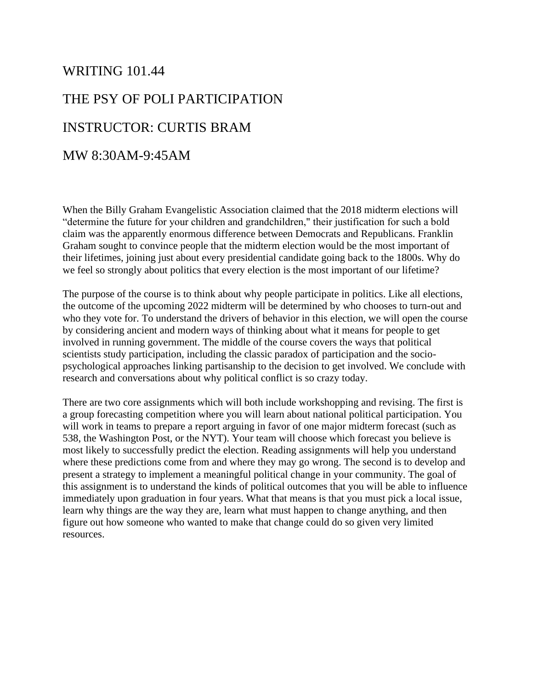## WRITING 101.44 THE PSY OF POLI PARTICIPATION INSTRUCTOR: CURTIS BRAM MW 8:30AM-9:45AM

When the Billy Graham Evangelistic Association claimed that the 2018 midterm elections will "determine the future for your children and grandchildren," their justification for such a bold claim was the apparently enormous difference between Democrats and Republicans. Franklin Graham sought to convince people that the midterm election would be the most important of their lifetimes, joining just about every presidential candidate going back to the 1800s. Why do we feel so strongly about politics that every election is the most important of our lifetime?

The purpose of the course is to think about why people participate in politics. Like all elections, the outcome of the upcoming 2022 midterm will be determined by who chooses to turn-out and who they vote for. To understand the drivers of behavior in this election, we will open the course by considering ancient and modern ways of thinking about what it means for people to get involved in running government. The middle of the course covers the ways that political scientists study participation, including the classic paradox of participation and the sociopsychological approaches linking partisanship to the decision to get involved. We conclude with research and conversations about why political conflict is so crazy today.

There are two core assignments which will both include workshopping and revising. The first is a group forecasting competition where you will learn about national political participation. You will work in teams to prepare a report arguing in favor of one major midterm forecast (such as 538, the Washington Post, or the NYT). Your team will choose which forecast you believe is most likely to successfully predict the election. Reading assignments will help you understand where these predictions come from and where they may go wrong. The second is to develop and present a strategy to implement a meaningful political change in your community. The goal of this assignment is to understand the kinds of political outcomes that you will be able to influence immediately upon graduation in four years. What that means is that you must pick a local issue, learn why things are the way they are, learn what must happen to change anything, and then figure out how someone who wanted to make that change could do so given very limited resources.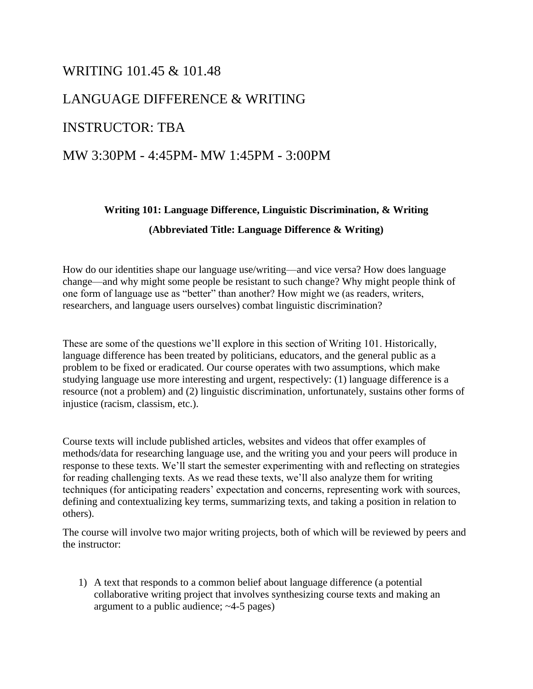#### WRITING 101.45 & 101.48

#### LANGUAGE DIFFERENCE & WRITING

#### INSTRUCTOR: TBA

#### MW 3:30PM - 4:45PM- MW 1:45PM - 3:00PM

#### **Writing 101: Language Difference, Linguistic Discrimination, & Writing (Abbreviated Title: Language Difference & Writing)**

How do our identities shape our language use/writing––and vice versa? How does language change––and why might some people be resistant to such change? Why might people think of one form of language use as "better" than another? How might we (as readers, writers, researchers, and language users ourselves) combat linguistic discrimination?

These are some of the questions we'll explore in this section of Writing 101. Historically, language difference has been treated by politicians, educators, and the general public as a problem to be fixed or eradicated. Our course operates with two assumptions, which make studying language use more interesting and urgent, respectively: (1) language difference is a resource (not a problem) and (2) linguistic discrimination, unfortunately, sustains other forms of injustice (racism, classism, etc.).

Course texts will include published articles, websites and videos that offer examples of methods/data for researching language use, and the writing you and your peers will produce in response to these texts. We'll start the semester experimenting with and reflecting on strategies for reading challenging texts. As we read these texts, we'll also analyze them for writing techniques (for anticipating readers' expectation and concerns, representing work with sources, defining and contextualizing key terms, summarizing texts, and taking a position in relation to others).

The course will involve two major writing projects, both of which will be reviewed by peers and the instructor:

1) A text that responds to a common belief about language difference (a potential collaborative writing project that involves synthesizing course texts and making an argument to a public audience; ~4-5 pages)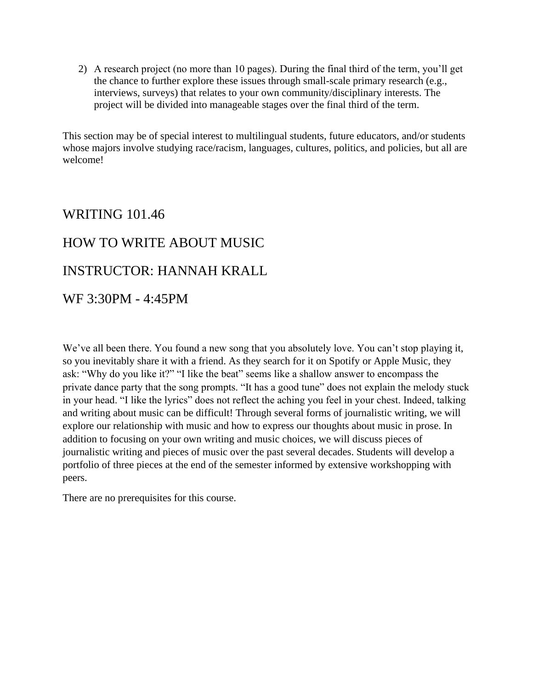2) A research project (no more than 10 pages). During the final third of the term, you'll get the chance to further explore these issues through small-scale primary research (e.g., interviews, surveys) that relates to your own community/disciplinary interests. The project will be divided into manageable stages over the final third of the term.

This section may be of special interest to multilingual students, future educators, and/or students whose majors involve studying race/racism, languages, cultures, politics, and policies, but all are welcome!

## WRITING 101.46 HOW TO WRITE ABOUT MUSIC INSTRUCTOR: HANNAH KRALL WF 3:30PM - 4:45PM

We've all been there. You found a new song that you absolutely love. You can't stop playing it, so you inevitably share it with a friend. As they search for it on Spotify or Apple Music, they ask: "Why do you like it?" "I like the beat" seems like a shallow answer to encompass the private dance party that the song prompts. "It has a good tune" does not explain the melody stuck in your head. "I like the lyrics" does not reflect the aching you feel in your chest. Indeed, talking and writing about music can be difficult! Through several forms of journalistic writing, we will explore our relationship with music and how to express our thoughts about music in prose. In addition to focusing on your own writing and music choices, we will discuss pieces of journalistic writing and pieces of music over the past several decades. Students will develop a portfolio of three pieces at the end of the semester informed by extensive workshopping with peers.

There are no prerequisites for this course.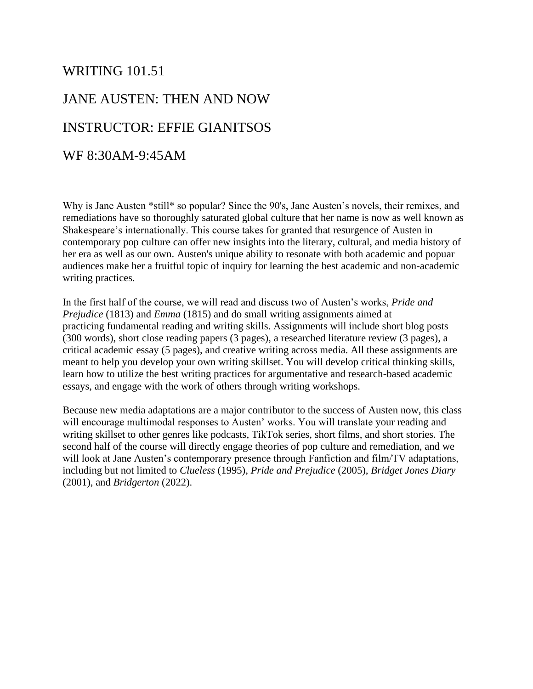#### WRITING 101.51

### JANE AUSTEN: THEN AND NOW INSTRUCTOR: EFFIE GIANITSOS

#### WF 8:30AM-9:45AM

Why is Jane Austen \*still\* so popular? Since the 90's, Jane Austen's novels, their remixes, and remediations have so thoroughly saturated global culture that her name is now as well known as Shakespeare's internationally. This course takes for granted that resurgence of Austen in contemporary pop culture can offer new insights into the literary, cultural, and media history of her era as well as our own. Austen's unique ability to resonate with both academic and popuar audiences make her a fruitful topic of inquiry for learning the best academic and non-academic writing practices.

In the first half of the course, we will read and discuss two of Austen's works, *Pride and Prejudice* (1813) and *Emma* (1815) and do small writing assignments aimed at practicing fundamental reading and writing skills. Assignments will include short blog posts (300 words), short close reading papers (3 pages), a researched literature review (3 pages), a critical academic essay (5 pages), and creative writing across media. All these assignments are meant to help you develop your own writing skillset. You will develop critical thinking skills, learn how to utilize the best writing practices for argumentative and research-based academic essays, and engage with the work of others through writing workshops.

Because new media adaptations are a major contributor to the success of Austen now, this class will encourage multimodal responses to Austen' works. You will translate your reading and writing skillset to other genres like podcasts, TikTok series, short films, and short stories. The second half of the course will directly engage theories of pop culture and remediation, and we will look at Jane Austen's contemporary presence through Fanfiction and film/TV adaptations, including but not limited to *Clueless* (1995), *Pride and Prejudice* (2005), *Bridget Jones Diary*  (2001), and *Bridgerton* (2022).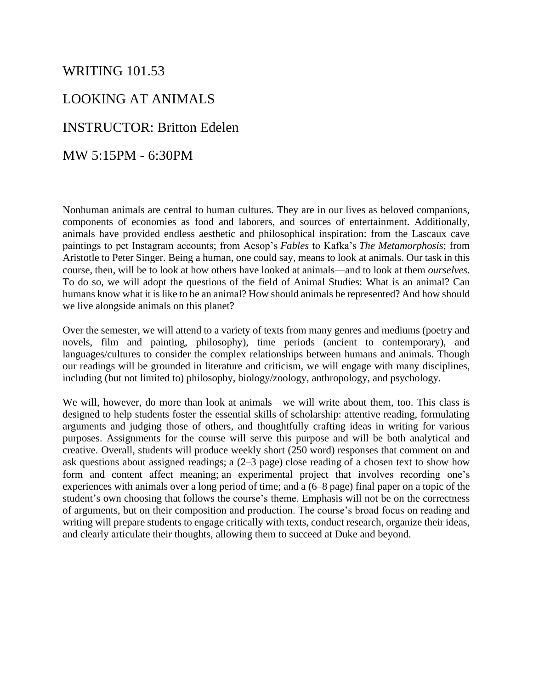#### WRITING 101.53

#### LOOKING AT ANIMALS

#### INSTRUCTOR: Britton Edelen

MW 5:15PM - 6:30PM

Nonhuman animals are central to human cultures. They are in our lives as beloved companions, components of economies as food and laborers, and sources of entertainment. Additionally, animals have provided endless aesthetic and philosophical inspiration: from the Lascaux cave paintings to pet Instagram accounts; from Aesop's *Fables* to Kafka's *The Metamorphosis*; from Aristotle to Peter Singer. Being a human, one could say, means to look at animals. Our task in this course, then, will be to look at how others have looked at animals—and to look at them *ourselves*. To do so, we will adopt the questions of the field of Animal Studies: What is an animal? Can humans know what it is like to be an animal? How should animals be represented? And how should we live alongside animals on this planet?

Over the semester, we will attend to a variety of texts from many genres and mediums (poetry and novels, film and painting, philosophy), time periods (ancient to contemporary), and languages/cultures to consider the complex relationships between humans and animals. Though our readings will be grounded in literature and criticism, we will engage with many disciplines, including (but not limited to) philosophy, biology/zoology, anthropology, and psychology.

We will, however, do more than look at animals—we will write about them, too. This class is designed to help students foster the essential skills of scholarship: attentive reading, formulating arguments and judging those of others, and thoughtfully crafting ideas in writing for various purposes. Assignments for the course will serve this purpose and will be both analytical and creative. Overall, students will produce weekly short (250 word) responses that comment on and ask questions about assigned readings; a (2–3 page) close reading of a chosen text to show how form and content affect meaning; an experimental project that involves recording one's experiences with animals over a long period of time; and a (6–8 page) final paper on a topic of the student's own choosing that follows the course's theme. Emphasis will not be on the correctness of arguments, but on their composition and production. The course's broad focus on reading and writing will prepare students to engage critically with texts, conduct research, organize their ideas, and clearly articulate their thoughts, allowing them to succeed at Duke and beyond.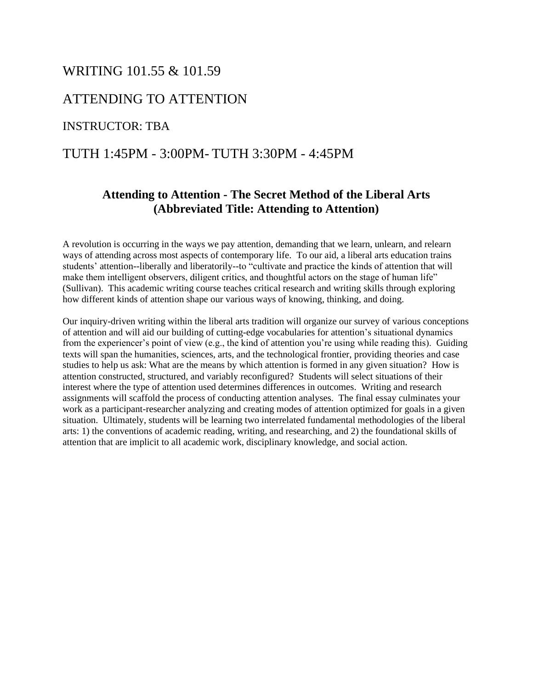#### WRITING 101.55 & 101.59

#### ATTENDING TO ATTENTION

#### INSTRUCTOR: TBA

#### TUTH 1:45PM - 3:00PM- TUTH 3:30PM - 4:45PM

#### **Attending to Attention - The Secret Method of the Liberal Arts (Abbreviated Title: Attending to Attention)**

A revolution is occurring in the ways we pay attention, demanding that we learn, unlearn, and relearn ways of attending across most aspects of contemporary life. To our aid, a liberal arts education trains students' attention--liberally and liberatorily--to "cultivate and practice the kinds of attention that will make them intelligent observers, diligent critics, and thoughtful actors on the stage of human life" (Sullivan). This academic writing course teaches critical research and writing skills through exploring how different kinds of attention shape our various ways of knowing, thinking, and doing.

Our inquiry-driven writing within the liberal arts tradition will organize our survey of various conceptions of attention and will aid our building of cutting-edge vocabularies for attention's situational dynamics from the experiencer's point of view (e.g., the kind of attention you're using while reading this). Guiding texts will span the humanities, sciences, arts, and the technological frontier, providing theories and case studies to help us ask: What are the means by which attention is formed in any given situation? How is attention constructed, structured, and variably reconfigured? Students will select situations of their interest where the type of attention used determines differences in outcomes. Writing and research assignments will scaffold the process of conducting attention analyses. The final essay culminates your work as a participant-researcher analyzing and creating modes of attention optimized for goals in a given situation. Ultimately, students will be learning two interrelated fundamental methodologies of the liberal arts: 1) the conventions of academic reading, writing, and researching, and 2) the foundational skills of attention that are implicit to all academic work, disciplinary knowledge, and social action.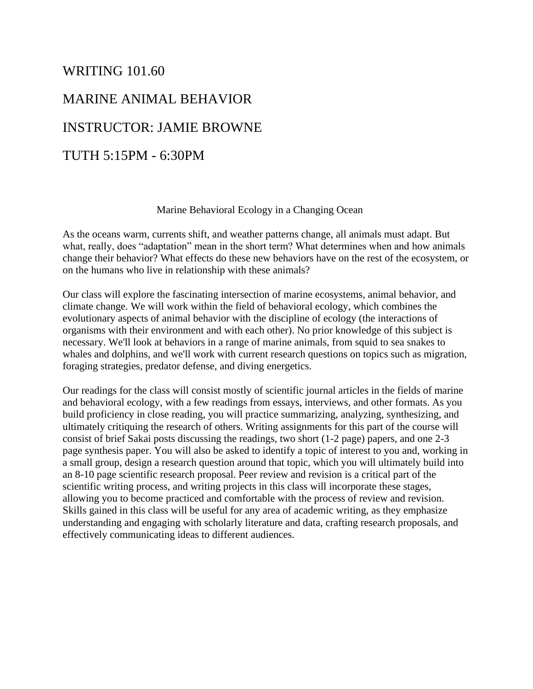## WRITING 101.60 MARINE ANIMAL BEHAVIOR INSTRUCTOR: JAMIE BROWNE TUTH 5:15PM - 6:30PM

#### Marine Behavioral Ecology in a Changing Ocean

As the oceans warm, currents shift, and weather patterns change, all animals must adapt. But what, really, does "adaptation" mean in the short term? What determines when and how animals change their behavior? What effects do these new behaviors have on the rest of the ecosystem, or on the humans who live in relationship with these animals?

Our class will explore the fascinating intersection of marine ecosystems, animal behavior, and climate change. We will work within the field of behavioral ecology, which combines the evolutionary aspects of animal behavior with the discipline of ecology (the interactions of organisms with their environment and with each other). No prior knowledge of this subject is necessary. We'll look at behaviors in a range of marine animals, from squid to sea snakes to whales and dolphins, and we'll work with current research questions on topics such as migration, foraging strategies, predator defense, and diving energetics.

Our readings for the class will consist mostly of scientific journal articles in the fields of marine and behavioral ecology, with a few readings from essays, interviews, and other formats. As you build proficiency in close reading, you will practice summarizing, analyzing, synthesizing, and ultimately critiquing the research of others. Writing assignments for this part of the course will consist of brief Sakai posts discussing the readings, two short (1-2 page) papers, and one 2-3 page synthesis paper. You will also be asked to identify a topic of interest to you and, working in a small group, design a research question around that topic, which you will ultimately build into an 8-10 page scientific research proposal. Peer review and revision is a critical part of the scientific writing process, and writing projects in this class will incorporate these stages, allowing you to become practiced and comfortable with the process of review and revision. Skills gained in this class will be useful for any area of academic writing, as they emphasize understanding and engaging with scholarly literature and data, crafting research proposals, and effectively communicating ideas to different audiences.